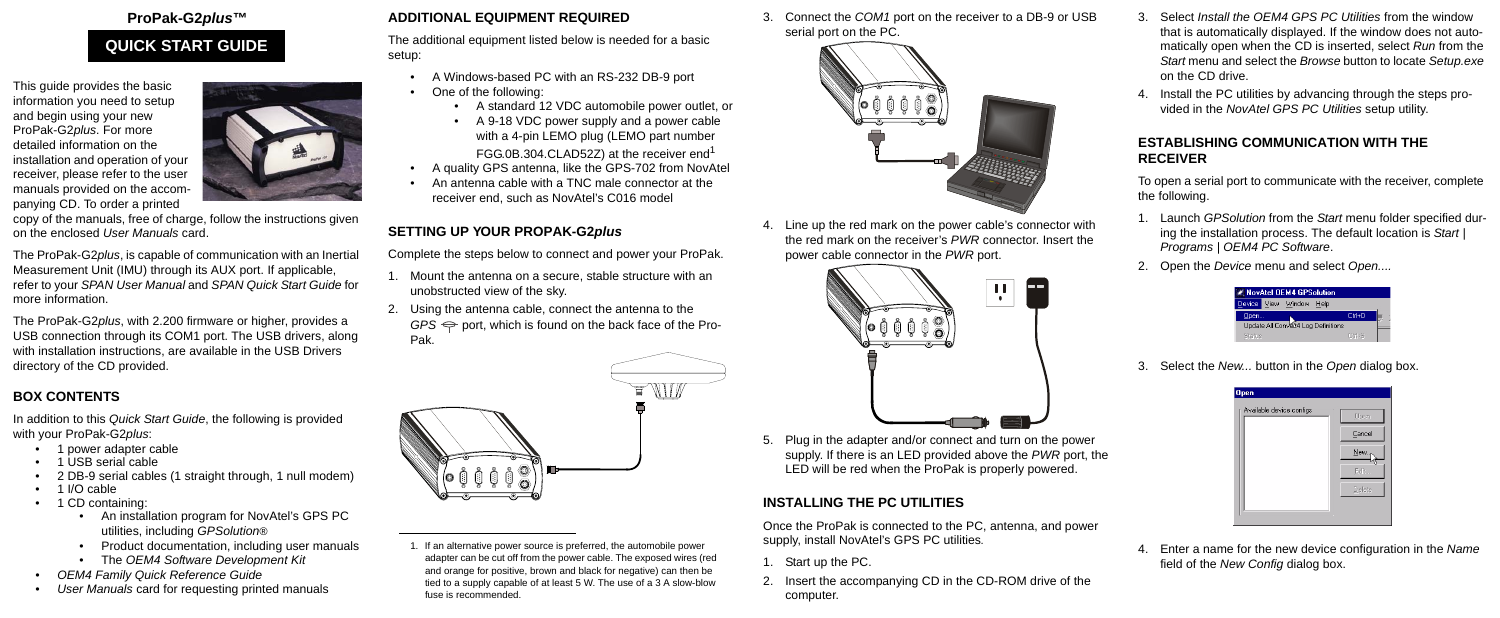#### **ProPak-G2***plus***™**

This guide provides the basic information you need to setup and begin using your new ProPak-G2*plus*. For more detailed information on the installation and operation of your receiver, please refer to the user manuals provided on the accompanying CD. To order a printed



copy of the manuals, free of charge, follow the instructions given on the enclosed *User Manuals* card.

The ProPak-G2*plus*, is capable of communication with an Inertial Measurement Unit (IMU) through its AUX port. If applicable, refer to your *SPAN User Manual* and *SPAN Quick Start Guide* for more information.

The ProPak-G2*plus*, with 2.200 firmware or higher, provides a USB connection through its COM1 port. The USB drivers, along with installation instructions, are available in the USB Drivers directory of the CD provided.

# **BOX CONTENTS**

In addition to this *Quick Start Guide*, the following is provided with your ProPak-G2*plus*:

- 1 power adapter cable
- 1 USB serial cable
- 2 DB-9 serial cables (1 straight through, 1 null modem)
- 1 I/O cable
- 1 CD containing:
	- An installation program for NovAtel's GPS PC utilities, including *GPSolution®*
	- Product documentation, including user manuals
	- The *OEM4 Software Development Kit*
- *OEM4 Family Quick Reference Guide*
- *User Manuals* card for requesting printed manuals

#### **ADDITIONAL EQUIPMENT REQUIRED**

The additional equipment listed below is needed for a basic setup:

- A Windows-based PC with an RS-232 DB-9 port
- One of the following:
	- A standard 12 VDC automobile power outlet, or
	- A 9-18 VDC power supply and a power cable with a 4-pin LEMO plug (LEMO part number FGG.0B.304.CLAD52Z) at the receiver end<sup>1</sup>
- A quality GPS antenna, like the GPS-702 from NovAtel
- An antenna cable with a TNC male connector at the receiver end, such as NovAtel's C016 model

4. Enter a name for the new device configuration in the *Name* field of the *New Config* dialog box.

# **SETTING UP YOUR PROPAK-G2***plus*

Complete the steps below to connect and power your ProPak.

- 1. Mount the antenna on a secure, stable structure with an unobstructed view of the sky.
- 2. Using the antenna cable, connect the antenna to the  $GPS \Leftrightarrow$  port, which is found on the back face of the Pro-Pak.



3. Connect the *COM1* port on the receiver to a DB-9 or USB serial port on the PC.



4. Line up the red mark on the power cable's connector with the red mark on the receiver's *PWR* connector. Insert the power cable connector in the *PWR* port.



5. Plug in the adapter and/or connect and turn on the power supply. If there is an LED provided above the *PWR* port, the LED will be red when the ProPak is properly powered.

# **INSTALLING THE PC UTILITIES**

Once the ProPak is connected to the PC, antenna, and power supply, install NovAtel's GPS PC utilities*.*

- 1. Start up the PC.
- 2. Insert the accompanying CD in the CD-ROM drive of the computer.
- 3. Select *Install the OEM4 GPS PC Utilities* from the window that is automatically displayed. If the window does not automatically open when the CD is inserted, select *Run* from the *Start* menu and select the *Browse* button to locate *Setup.exe* on the CD drive.
- 4. Install the PC utilities by advancing through the steps provided in the *NovAtel GPS PC Utilities* setup utility.

#### **ESTABLISHING COMMUNICATION WITH THE RECEIVER**

To open a serial port to communicate with the receiver, complete the following.

- 1. Launch *GPSolution* from the *Start* menu folder specified during the installation process. The default location is *Start | Programs | OEM4 PC Software*.
- 2. Open the *Device* menu and select *Open....*



3. Select the *New...* button in the *Open* dialog box.



# **QUICK START GUIDE**

<sup>1.</sup> If an alternative power source is preferred, the automobile power adapter can be cut off from the power cable. The exposed wires (red and orange for positive, brown and black for negative) can then be tied to a supply capable of at least 5 W. The use of a 3 A slow-blow fuse is recommended.